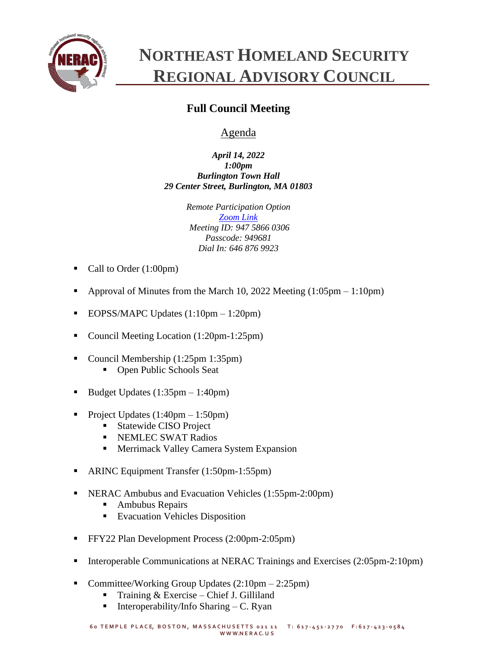

## **NORTHEAST HOMELAND SECURITY REGIONAL ADVISORY COUNCIL**

## **Full Council Meeting**

## Agenda

*April 14, 2022 1:00pm Burlington Town Hall 29 Center Street, Burlington, MA 01803*

> *Remote Participation Option [Zoom Link](https://zoom.us/j/94758660306?pwd=SzNhc1dNd0ZYNGg4c0pmalJ1bXVMdz09) Meeting ID: 947 5866 0306 Passcode: 949681 Dial In: 646 876 9923*

- Call to Order (1:00pm)
- Approval of Minutes from the March 10, 2022 Meeting  $(1:05pm 1:10pm)$
- EOPSS/MAPC Updates  $(1:10 \text{pm} 1:20 \text{pm})$
- Council Meeting Location (1:20pm-1:25pm)
- Council Membership (1:25pm 1:35pm)
	- Open Public Schools Seat
- Budget Updates  $(1:35pm 1:40pm)$
- Project Updates  $(1:40 \text{pm} 1:50 \text{pm})$ 
	- Statewide CISO Project
	- **EXEMPLEC SWAT Radios**
	- **EXECUTE:** Merrimack Valley Camera System Expansion
- ARINC Equipment Transfer (1:50pm-1:55pm)
- NERAC Ambubus and Evacuation Vehicles (1:55pm-2:00pm)
	- Ambubus Repairs
	- Evacuation Vehicles Disposition
- **•** FFY22 Plan Development Process (2:00pm-2:05pm)
- Interoperable Communications at NERAC Trainings and Exercises (2:05pm-2:10pm)
- Committee/Working Group Updates  $(2:10 \text{pm} 2:25 \text{pm})$ 
	- Training  $&$  Exercise Chief J. Gilliland
	- **•** Interoperability/Info Sharing  $C$ . Ryan